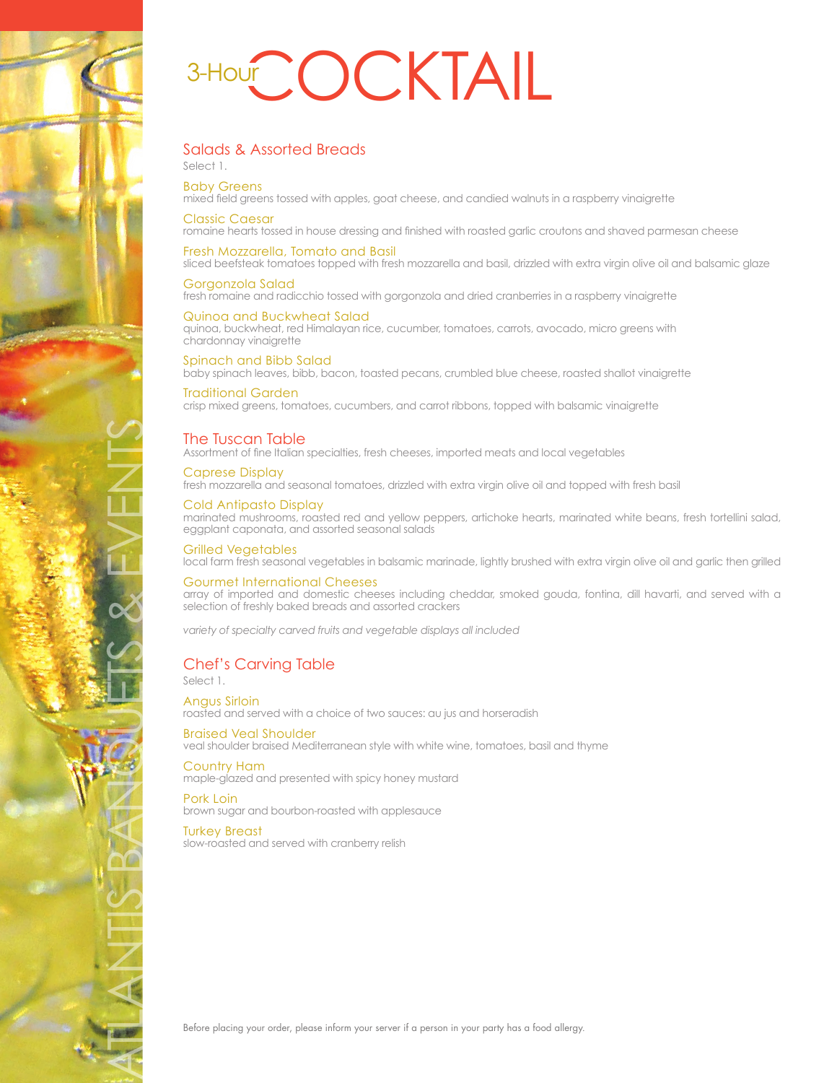# 3-Hour OCKTAIL

# Salads & Assorted Breads

Select 1.

Baby Greens mixed field greens tossed with apples, goat cheese, and candied walnuts in a raspberry vinaigrette

# Classic Caesar

romaine hearts tossed in house dressing and finished with roasted garlic croutons and shaved parmesan cheese

# Fresh Mozzarella, Tomato and Basil

sliced beefsteak tomatoes topped with fresh mozzarella and basil, drizzled with extra virgin olive oil and balsamic glaze

# Gorgonzola Salad

fresh romaine and radicchio tossed with gorgonzola and dried cranberries in a raspberry vinaigrette

# Quinoa and Buckwheat Salad

quinoa, buckwheat, red Himalayan rice, cucumber, tomatoes, carrots, avocado, micro greens with chardonnay vinaigrette

# Spinach and Bibb Salad

baby spinach leaves, bibb, bacon, toasted pecans, crumbled blue cheese, roasted shallot vinaigrette

# Traditional Garden

crisp mixed greens, tomatoes, cucumbers, and carrot ribbons, topped with balsamic vinaigrette

# The Tuscan Table

Assortment of fine Italian specialties, fresh cheeses, imported meats and local vegetables

# Caprese Display

fresh mozzarella and seasonal tomatoes, drizzled with extra virgin olive oil and topped with fresh basil

# Cold Antipasto Display

marinated mushrooms, roasted red and yellow peppers, artichoke hearts, marinated white beans, fresh tortellini salad, eggplant caponata, and assorted seasonal salads

# Grilled Vegetables

local farm fresh seasonal vegetables in balsamic marinade, lightly brushed with extra virgin olive oil and garlic then grilled

# Gourmet International Cheeses

array of imported and domestic cheeses including cheddar, smoked gouda, fontina, dill havarti, and served with a selection of freshly baked breads and assorted crackers

*variety of specialty carved fruits and vegetable displays all included*

# Chef's Carving Table

Select 1.

ATLANTIS BANQUETS & EVENTS

Angus Sirloin roasted and served with a choice of two sauces: au jus and horseradish

Braised Veal Shoulder veal shoulder braised Mediterranean style with white wine, tomatoes, basil and thyme

Country Ham maple-glazed and presented with spicy honey mustard

# Pork Loin

brown sugar and bourbon-roasted with applesauce

# Turkey Breast

slow-roasted and served with cranberry relish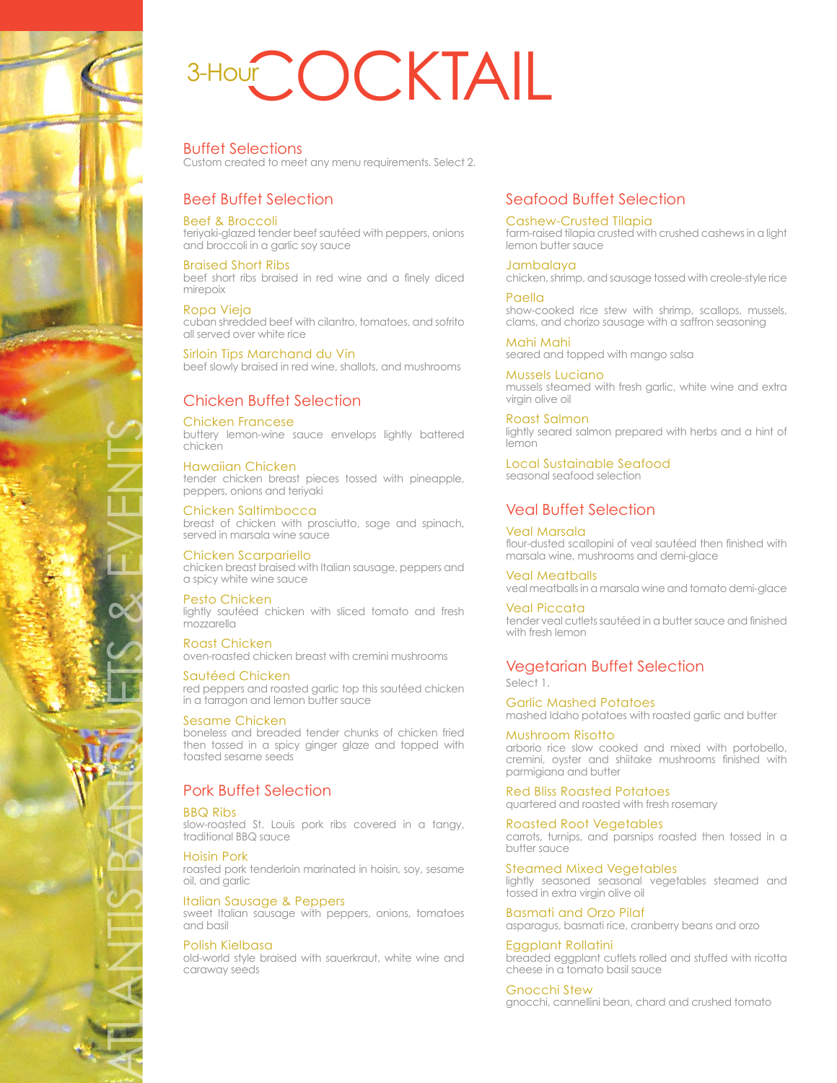# 3-Hour OCKTAIL

# Buffet Selections

Custom created to meet any menu requirements. Select 2.

# Beef Buffet Selection

Beef & Broccoli teriyaki-glazed tender beef sautéed with peppers, onions and broccoli in a garlic soy sauce

Braised Short Ribs beef short ribs braised in red wine and a finely diced mirepoix

#### Ropa Vieja cuban shredded beef with cilantro, tomatoes, and sofrito all served over white rice

Sirloin Tips Marchand du Vin beef slowly braised in red wine, shallots, and mushrooms

# Chicken Buffet Selection

Chicken Francese buttery lemon-wine sauce envelops lightly battered chicken

#### Hawaiian Chicken tender chicken breast pieces tossed with pineapple, peppers, onions and teriyaki

Chicken Saltimbocca breast of chicken with prosciutto, sage and spinach, served in marsala wine sauce

Chicken Scarpariello chicken breast braised with Italian sausage, peppers and a spicy white wine sauce

Pesto Chicken lightly sautéed chicken with sliced tomato and fresh mozzarella

Roast Chicken oven-roasted chicken breast with cremini mushrooms

Sautéed Chicken red peppers and roasted garlic top this sautéed chicken in a tarragon and lemon butter sauce

### Sesame Chicken

boneless and breaded tender chunks of chicken fried then tossed in a spicy ginger glaze and topped with toasted sesame seeds

# Pork Buffet Selection

# BBQ Ribs

ATLANTIS BANQUETS & EVENTS

slow-roasted St. Louis pork ribs covered in a tangy, traditional BBQ sauce

Hoisin Pork roasted pork tenderloin marinated in hoisin, soy, sesame oil, and garlic

Italian Sausage & Peppers sweet Italian sausage with peppers, onions, tomatoes and basil

### Polish Kielbasa

old-world style braised with sauerkraut, white wine and caraway seeds

# Seafood Buffet Selection

Cashew-Crusted Tilapia farm-raised tilapia crusted with crushed cashews in a light lemon butter sauce

Jambalaya chicken, shrimp, and sausage tossed with creole-style rice

Paella show-cooked rice stew with shrimp, scallops, mussels, clams, and chorizo sausage with a saffron seasoning

Mahi Mahi seared and topped with mango salsa Mussels Luciano

mussels steamed with fresh garlic, white wine and extra virgin olive oil

Roast Salmon lightly seared salmon prepared with herbs and a hint of lemon

Local Sustainable Seafood seasonal seafood selection

# Veal Buffet Selection

Veal Marsala flour-dusted scallopini of veal sautéed then finished with marsala wine, mushrooms and demi-glace

Veal Meatballs veal meatballs in a marsala wine and tomato demi-glace

Veal Piccata tender veal cutlets sautéed in a butter sauce and finished with fresh lemon

# Vegetarian Buffet Selection

Select 1.

Garlic Mashed Potatoes mashed Idaho potatoes with roasted garlic and butter

Mushroom Risotto arborio rice slow cooked and mixed with portobello, cremini, oyster and shiitake mushrooms finished with parmigiana and butter

Red Bliss Roasted Potatoes

quartered and roasted with fresh rosemary

Roasted Root Vegetables carrots, turnips, and parsnips roasted then tossed in a butter sauce

Steamed Mixed Vegetables lightly seasoned seasonal vegetables steamed and tossed in extra virgin olive oil

Basmati and Orzo Pilaf asparagus, basmati rice, cranberry beans and orzo

Eggplant Rollatini breaded eggplant cutlets rolled and stuffed with ricotta cheese in a tomato basil sauce

Gnocchi Stew gnocchi, cannellini bean, chard and crushed tomato